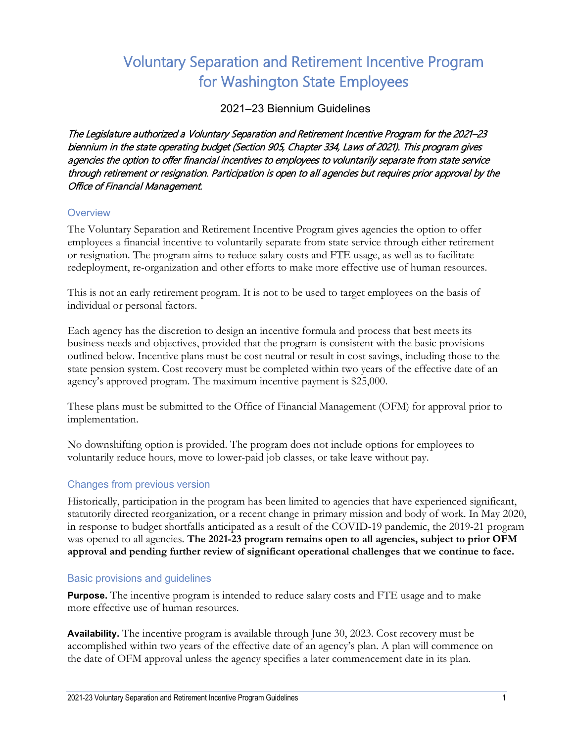# Voluntary Separation and Retirement Incentive Program for Washington State Employees

2021–23 Biennium Guidelines

The Legislature authorized a Voluntary Separation and Retirement Incentive Program for the 2021–23 biennium in the state operating budget (Section 905, Chapter 334, Laws of 2021). This program gives agencies the option to offer financial incentives to employees to voluntarily separate from state service through retirement or resignation. Participation is open to all agencies but requires prior approval by the Office of Financial Management.

# **Overview**

The Voluntary Separation and Retirement Incentive Program gives agencies the option to offer employees a financial incentive to voluntarily separate from state service through either retirement or resignation. The program aims to reduce salary costs and FTE usage, as well as to facilitate redeployment, re-organization and other efforts to make more effective use of human resources.

This is not an early retirement program. It is not to be used to target employees on the basis of individual or personal factors.

Each agency has the discretion to design an incentive formula and process that best meets its business needs and objectives, provided that the program is consistent with the basic provisions outlined below. Incentive plans must be cost neutral or result in cost savings, including those to the state pension system. Cost recovery must be completed within two years of the effective date of an agency's approved program. The maximum incentive payment is \$25,000.

These plans must be submitted to the Office of Financial Management (OFM) for approval prior to implementation.

No downshifting option is provided. The program does not include options for employees to voluntarily reduce hours, move to lower-paid job classes, or take leave without pay.

# Changes from previous version

Historically, participation in the program has been limited to agencies that have experienced significant, statutorily directed reorganization, or a recent change in primary mission and body of work. In May 2020, in response to budget shortfalls anticipated as a result of the COVID-19 pandemic, the 2019-21 program was opened to all agencies. **The 2021-23 program remains open to all agencies, subject to prior OFM approval and pending further review of significant operational challenges that we continue to face.**

# Basic provisions and guidelines

**Purpose.** The incentive program is intended to reduce salary costs and FTE usage and to make more effective use of human resources.

**Availability.** The incentive program is available through June 30, 2023. Cost recovery must be accomplished within two years of the effective date of an agency's plan. A plan will commence on the date of OFM approval unless the agency specifies a later commencement date in its plan.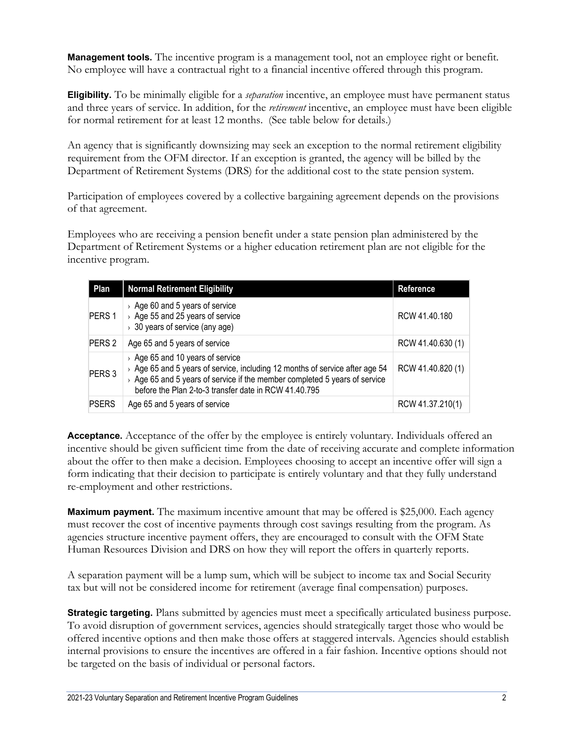**Management tools.** The incentive program is a management tool, not an employee right or benefit. No employee will have a contractual right to a financial incentive offered through this program.

**Eligibility.** To be minimally eligible for a *separation* incentive, an employee must have permanent status and three years of service. In addition, for the *retirement* incentive, an employee must have been eligible for normal retirement for at least 12 months. (See table below for details.)

An agency that is significantly downsizing may seek an exception to the normal retirement eligibility requirement from the OFM director. If an exception is granted, the agency will be billed by the Department of Retirement Systems (DRS) for the additional cost to the state pension system.

Participation of employees covered by a collective bargaining agreement depends on the provisions of that agreement.

Employees who are receiving a pension benefit under a state pension plan administered by the Department of Retirement Systems or a higher education retirement plan are not eligible for the incentive program.

| Plan              | <b>Normal Retirement Eligibility</b>                                                                                                                                                                                                                              | <b>Reference</b>  |
|-------------------|-------------------------------------------------------------------------------------------------------------------------------------------------------------------------------------------------------------------------------------------------------------------|-------------------|
| PERS <sub>1</sub> | $\rightarrow$ Age 60 and 5 years of service<br>> Age 55 and 25 years of service<br>$\rightarrow$ 30 years of service (any age)                                                                                                                                    | RCW 41.40.180     |
| PERS <sub>2</sub> | Age 65 and 5 years of service                                                                                                                                                                                                                                     | RCW 41.40.630 (1) |
| PERS <sub>3</sub> | $\rightarrow$ Age 65 and 10 years of service<br>Age 65 and 5 years of service, including 12 months of service after age 54<br>> Age 65 and 5 years of service if the member completed 5 years of service<br>before the Plan 2-to-3 transfer date in RCW 41.40.795 | RCW 41.40.820 (1) |
| <b>PSERS</b>      | Age 65 and 5 years of service                                                                                                                                                                                                                                     | RCW 41.37.210(1)  |

**Acceptance.** Acceptance of the offer by the employee is entirely voluntary. Individuals offered an incentive should be given sufficient time from the date of receiving accurate and complete information about the offer to then make a decision. Employees choosing to accept an incentive offer will sign a form indicating that their decision to participate is entirely voluntary and that they fully understand re-employment and other restrictions.

**Maximum payment.** The maximum incentive amount that may be offered is \$25,000. Each agency must recover the cost of incentive payments through cost savings resulting from the program. As agencies structure incentive payment offers, they are encouraged to consult with the OFM State Human Resources Division and DRS on how they will report the offers in quarterly reports.

A separation payment will be a lump sum, which will be subject to income tax and Social Security tax but will not be considered income for retirement (average final compensation) purposes.

**Strategic targeting.** Plans submitted by agencies must meet a specifically articulated business purpose. To avoid disruption of government services, agencies should strategically target those who would be offered incentive options and then make those offers at staggered intervals. Agencies should establish internal provisions to ensure the incentives are offered in a fair fashion. Incentive options should not be targeted on the basis of individual or personal factors.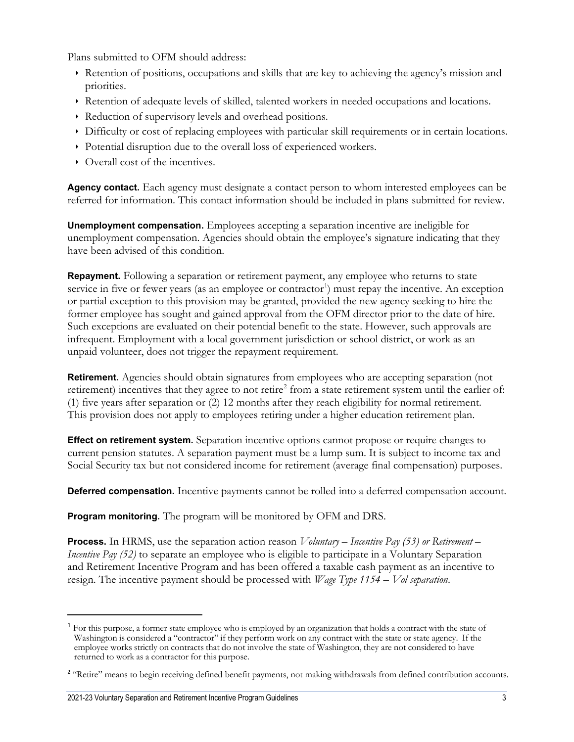Plans submitted to OFM should address:

- Retention of positions, occupations and skills that are key to achieving the agency's mission and priorities.
- Retention of adequate levels of skilled, talented workers in needed occupations and locations.
- Reduction of supervisory levels and overhead positions.
- Difficulty or cost of replacing employees with particular skill requirements or in certain locations.
- Potential disruption due to the overall loss of experienced workers.
- Overall cost of the incentives.

**Agency contact.** Each agency must designate a contact person to whom interested employees can be referred for information. This contact information should be included in plans submitted for review.

**Unemployment compensation.** Employees accepting a separation incentive are ineligible for unemployment compensation. Agencies should obtain the employee's signature indicating that they have been advised of this condition.

**Repayment.** Following a separation or retirement payment, any employee who returns to state service in five or fewer years (as an employee or contractor<sup>[1](#page-2-0)</sup>) must repay the incentive. An exception or partial exception to this provision may be granted, provided the new agency seeking to hire the former employee has sought and gained approval from the OFM director prior to the date of hire. Such exceptions are evaluated on their potential benefit to the state. However, such approvals are infrequent. Employment with a local government jurisdiction or school district, or work as an unpaid volunteer, does not trigger the repayment requirement.

**Retirement.** Agencies should obtain signatures from employees who are accepting separation (not retirement) incentives that they agree to not retire<sup>[2](#page-2-1)</sup> from a state retirement system until the earlier of: (1) five years after separation or (2) 12 months after they reach eligibility for normal retirement. This provision does not apply to employees retiring under a higher education retirement plan.

**Effect on retirement system.** Separation incentive options cannot propose or require changes to current pension statutes. A separation payment must be a lump sum. It is subject to income tax and Social Security tax but not considered income for retirement (average final compensation) purposes.

**Deferred compensation.** Incentive payments cannot be rolled into a deferred compensation account.

**Program monitoring.** The program will be monitored by OFM and DRS.

**Process.** In HRMS, use the separation action reason *Voluntary – Incentive Pay (53) or Retirement – Incentive Pay (52)* to separate an employee who is eligible to participate in a Voluntary Separation and Retirement Incentive Program and has been offered a taxable cash payment as an incentive to resign. The incentive payment should be processed with *Wage Type 1154 – Vol separation*.

<span id="page-2-0"></span><sup>&</sup>lt;sup>1</sup> For this purpose, a former state employee who is employed by an organization that holds a contract with the state of Washington is considered a "contractor" if they perform work on any contract with the state or state agency. If the employee works strictly on contracts that do not involve the state of Washington, they are not considered to have returned to work as a contractor for this purpose.

<span id="page-2-1"></span><sup>&</sup>lt;sup>2</sup> "Retire" means to begin receiving defined benefit payments, not making withdrawals from defined contribution accounts.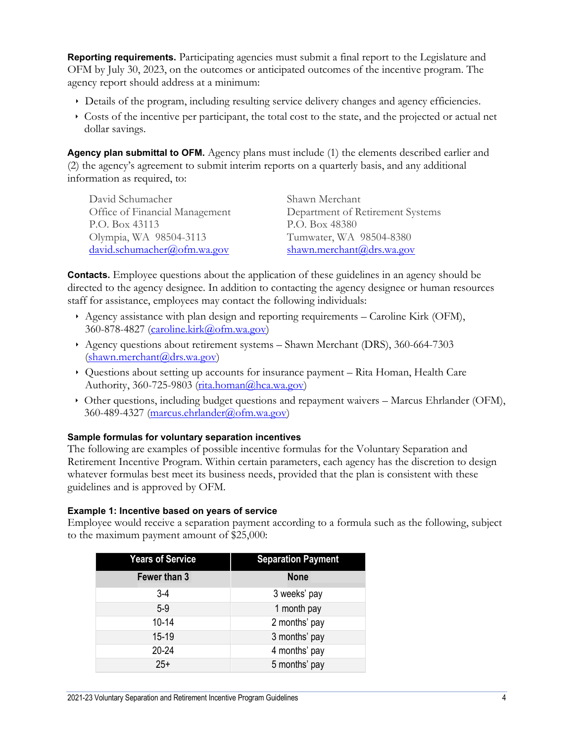**Reporting requirements.** Participating agencies must submit a final report to the Legislature and OFM by July 30, 2023, on the outcomes or anticipated outcomes of the incentive program. The agency report should address at a minimum:

- Details of the program, including resulting service delivery changes and agency efficiencies.
- Costs of the incentive per participant, the total cost to the state, and the projected or actual net dollar savings.

**Agency plan submittal to OFM.** Agency plans must include (1) the elements described earlier and (2) the agency's agreement to submit interim reports on a quarterly basis, and any additional information as required, to:

| David Schumacher               | Shawn Merchant                   |
|--------------------------------|----------------------------------|
| Office of Financial Management | Department of Retirement Systems |
| P.O. Box 43113                 | P.O. Box 48380                   |
| Olympia, WA 98504-3113         | Tumwater, WA 98504-8380          |
| david.schumacher@ofm.wa.gov    | shawn.merchant@drs.wa.gov        |

**Contacts.** Employee questions about the application of these guidelines in an agency should be directed to the agency designee. In addition to contacting the agency designee or human resources staff for assistance, employees may contact the following individuals:

- Agency assistance with plan design and reporting requirements Caroline Kirk (OFM), 360-878-4827 [\(caroline.kirk@ofm.wa.gov\)](mailto:caroline.kirk@ofm.wa.gov)
- Agency questions about retirement systems Shawn Merchant (DRS), 360-664-7303 [\(shawn.merchant@drs.wa.gov\)](mailto:shawn.merchant@drs.wa.gov)
- $\rightarrow$  Questions about setting up accounts for insurance payment Rita Homan, Health Care Authority, 360-725-9803 ( $rita.homan@hca.wa.gov$ )
- Other questions, including budget questions and repayment waivers Marcus Ehrlander (OFM), 360-489-4327 [\(marcus.ehrlander@ofm.wa.gov\)](mailto:marcus.ehrlander@ofm.wa.gov)

# **Sample formulas for voluntary separation incentives**

The following are examples of possible incentive formulas for the Voluntary Separation and Retirement Incentive Program. Within certain parameters, each agency has the discretion to design whatever formulas best meet its business needs, provided that the plan is consistent with these guidelines and is approved by OFM.

#### **Example 1: Incentive based on years of service**

Employee would receive a separation payment according to a formula such as the following, subject to the maximum payment amount of \$25,000:

| <b>Years of Service</b> | <b>Separation Payment</b> |  |
|-------------------------|---------------------------|--|
| Fewer than 3            | <b>None</b>               |  |
| $3-4$                   | 3 weeks' pay              |  |
| $5-9$                   | 1 month pay               |  |
| $10 - 14$               | 2 months' pay             |  |
| 15-19                   | 3 months' pay             |  |
| $20 - 24$               | 4 months' pay             |  |
| $25+$                   | 5 months' pay             |  |